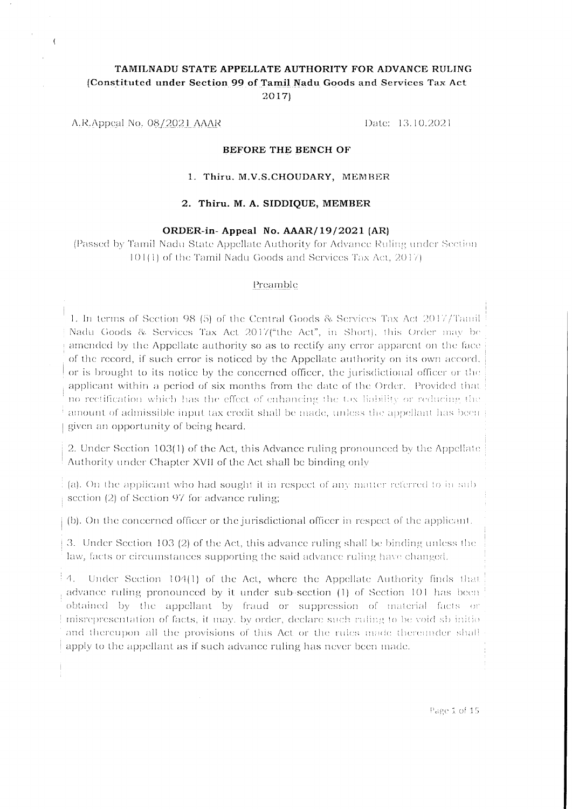## TAMILNADU STATE APPELLATE AUTHORITY FOR ADVANCE RULING (Constituted under Section 99 of Tamil Nadu Goods and Services Tax Act 2017)

A.R.Appeal No. 08/2021 AAAR

 $\mathbf{f}$ 

Date: 13.10.2021

#### **BEFORE THE BENCH OF**

#### 1. Thiru. M.V.S.CHOUDARY, MEMBER

#### 2. Thiru. M. A. SIDDIQUE, MEMBER

#### ORDER-in-Appeal No. AAAR/19/2021 (AR)

(Passed by Tamil Nadu State Appellate Authority for Advance Ruling under Section 101(1) of the Tamil Nadu Goods and Services Tax Act, 2017)

#### Preamble

1. In terms of Section 98 (5) of the Central Goods & Services Tax Act 2017/Tamil Nadu Goods & Services Tax Act 2017("the Act", in Short), this Order may be amended by the Appellate authority so as to rectify any error apparent on the face of the record, if such error is noticed by the Appellate authority on its own accord, or is brought to its notice by the concerned officer, the jurisdictional officer or the applicant within a period of six months from the date of the Order. Provided that no rectification which has the effect of enhancing the tax liability or reducing the amount of admissible input tax credit shall be made, unless the appellant has been given an opportunity of being heard.

2. Under Section 103(1) of the Act, this Advance ruling pronounced by the Appellate Authority under Chapter XVII of the Act shall be binding only

 $\vdots$  (a). On the applicant who had sought it in respect of any matter referred to in subsection  $(2)$  of Section 97 for advance ruling;

(b). On the concerned officer or the jurisdictional officer in respect of the applicant.

3. Under Section 103 (2) of the Act, this advance ruling shall be binding unless the law, facts or circumstances supporting the said advance ruling have changed.

4. Under Section 104(1) of the Act, where the Appellate Authority finds that advance ruling pronounced by it under sub-section (1) of Section 101 has been obtained by the appellant by fraud or suppression of material facts or misrepresentation of facts, it may, by order, declare such ruling to be void sb initio and thereupon all the provisions of this Act or the rules made thereunder shall apply to the appellant as if such advance ruling has never been made.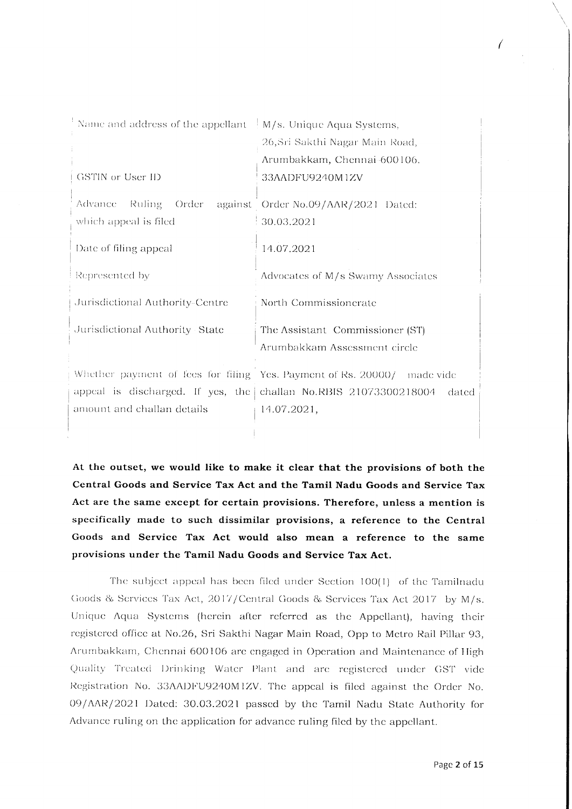| Name and address of the appellant $\mid M/s$ . Unique Aqua Systems, |                                                                         |
|---------------------------------------------------------------------|-------------------------------------------------------------------------|
|                                                                     | 26, Sri Sakthi Nagar Main Road,                                         |
|                                                                     | Arumbakkam, Chennai 600106.                                             |
| GSTIN or User ID                                                    | 33AADFU9240M1ZV                                                         |
| Advance:<br>Ruling<br>Order<br>which appeal is filed                | against Order No.09/AAR/2021 Dated:<br>30.03.2021                       |
| Date of filing appeal                                               | 14.07.2021                                                              |
| Represented by                                                      | Advocates of M/s Swarny Associates                                      |
| Jurisdictional Authority-Centre                                     | North Commissionerate                                                   |
| Jurisdictional Authority State                                      | The Assistant Commissioner (ST)                                         |
|                                                                     | Arumbakkam Assessment circle                                            |
|                                                                     | Whether payment of fees for filing Yes. Payment of Rs. 20000/ made vide |
| appeal is discharged. If yes, the challan No.RBIS $21073300218004$  | dated                                                                   |
| amount and challan details                                          | 14.07.2021,                                                             |
|                                                                     |                                                                         |

At the outset, we would like to make it clear that the provisions of both the Central Goods and Service Tax Act and the Tamil Nadu Goods and Service Tax Act are the same except for certain provisions. Therefore, unless a mention is specifically made to such dissimilar provisions, a reference to the Central Goods and Service Tax Act would also mean a reference to the same provisions under the Tamil Nadu Goods and Service Tax Act.

The subject appeal has been filed under Section 100(1) of the Tamilnadu Goods & Services Tax Act, 2017/Central Goods & Services Tax Act 2017 by M/s. Unique Aqua Systems (herein after referred as the Appellant), having their registered office at No.26, Sri Sakthi Nagar Main Road, Opp to Metro Rail Pillar 93, Arumbakkam, Chennai 600106 are engaged in Operation and Maintenance of High Quality Treated Drinking Water Plant and are registered under GST vide Registration No. 33AADFU9240M1ZV. The appeal is filed against the Order No. 09/AAR/2021 Dated: 30.03.2021 passed by the Tamil Nadu State Authority for Advance ruling on the application for advance ruling filed by the appellant.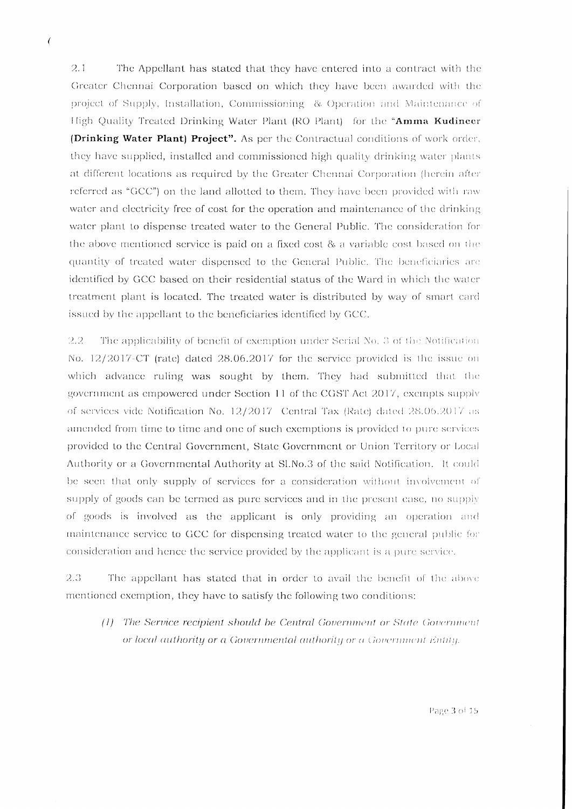$\overline{ }$ 

 $2.1$ The Appellant has stated that they have entered into a contract with the Greater Chennai Corporation based on which they have been awarded with the project of Supply, Installation, Commissioning & Operation and Maintenance of High Quality Treated Drinking Water Plant (RO Plant) for the "Amma Kudineer (Drinking Water Plant) Project". As per the Contractual conditions of work order, they have supplied, installed and commissioned high quality drinking water plants at different locations as required by the Greater Chennai Corporation (herein after referred as "GCC") on the land allotted to them. They have been provided with raw water and electricity free of cost for the operation and maintenance of the drinking water plant to dispense treated water to the General Public. The consideration for the above-mentioned service is paid on a fixed cost & a variable cost based on the quantity of treated water dispensed to the General Public. The beneficiaries are identified by GCC based on their residential status of the Ward in which the water treatment plant is located. The treated water is distributed by way of smart card issued by the appellant to the beneficiaries identified by GCC.

 $2.2$ The applicability of benefit of exemption under Serial No. 3 of the Notification No.  $12/2017$ -CT (rate) dated  $28.06.2017$  for the service provided is the issue on which advance ruling was sought by them. They had submitted that the government as empowered under Section 11 of the CGST Act 2017, exempts supply of services vide Notification No. 12/2017 Central Tax (Rate) dated 28.06.2017 as amended from time to time and one of such exemptions is provided to pure services provided to the Central Government, State Government or Union Territory or Local Authority or a Governmental Authority at Sl.No.3 of the said Notification. It could be seen that only supply of services for a consideration without involvement of supply of goods can be termed as pure services and in the present case, no supply of goods is involved as the applicant is only providing an operation and maintenance service to GCC for dispensing treated water to the general public for consideration and hence the service provided by the applicant is a pure service.

2.3 The appellant has stated that in order to avail the benefit of the above mentioned exemption, they have to satisfy the following two conditions:

(1) The Service recipient should be Central Government or State Government or local authority or a Governmental authority or a Government Entity.

Page 3 of 15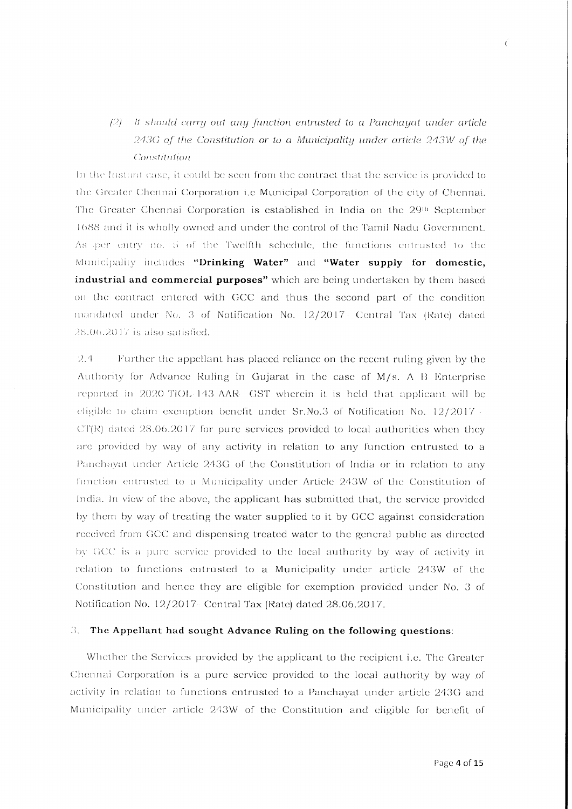# $(2)$  It should carry out any function entrusted to a Panchayat under article 243G of the Constitution or to a Municipality under article 243W of the Constitution

In the Instant case, it could be seen from the contract that the service is provided to the Greater Chennai Corporation i.e Municipal Corporation of the city of Chennai. The Greater Chennai Corporation is established in India on the 29th September 1688 and it is wholly owned and under the control of the Tamil Nadu Government. As per entry no. 5 of the Twelfth schedule, the functions entrusted to the Municipality includes "Drinking Water" and "Water supply for domestic, industrial and commercial purposes" which are being undertaken by them based on the contract entered with GCC and thus the second part of the condition mandated under No. 3 of Notification No. 12/2017 Central Tax (Rate) dated 28.06.2017 is also satisfied.

 $2.4$ Further the appellant has placed reliance on the recent ruling given by the Authority for Advance Ruling in Gujarat in the case of M/s. A B Enterprise reported in 2020 TIOL 143 AAR GST wherein it is held that applicant will be eligible to claim exemption benefit under Sr.No.3 of Notification No. 12/2017  $CT(R)$  dated 28.06.2017 for pure services provided to local authorities when they are provided by way of any activity in relation to any function entrusted to a Panchavat under Article 243G of the Constitution of India or in relation to any function entrusted to a Municipality under Article 243W of the Constitution of India. In view of the above, the applicant has submitted that, the service provided by them by way of treating the water supplied to it by GCC against consideration received from GCC and dispensing treated water to the general public as directed by GCC is a pure service provided to the local authority by way of activity in relation to functions entrusted to a Municipality under article 243W of the Constitution and hence they are cligible for exemption provided under No. 3 of Notification No. 12/2017 Central Tax (Rate) dated 28.06.2017.

#### 3. The Appellant had sought Advance Ruling on the following questions:

Whether the Services provided by the applicant to the recipient i.e. The Greater Chennai Corporation is a pure service provided to the local authority by way of activity in relation to functions entrusted to a Panchayat under article 243G and Municipality under article 243W of the Constitution and eligible for benefit of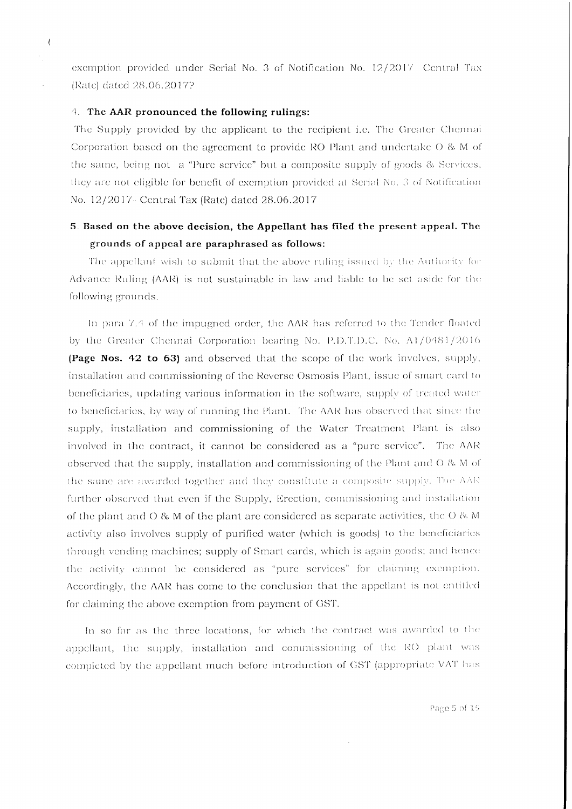exemption provided under Serial No. 3 of Notification No. 12/2017 Central Tax (Rate) dated 28.06.2017?

#### 4. The AAR pronounced the following rulings:

 $\overline{ }$  $\epsilon$ 

> The Supply provided by the applicant to the recipient i.e. The Greater Chennai Corporation based on the agreement to provide RO Plant and undertake O & M of the same, being not a "Pure service" but a composite supply of goods & Services, they are not eligible for benefit of exemption provided at Serial No. 3 of Notification No. 12/2017 - Central Tax (Rate) dated 28.06.2017

# 5. Based on the above decision, the Appellant has filed the present appeal. The grounds of appeal are paraphrased as follows:

The appellant wish to submit that the above ruling issued by the Authority for Advance Ruling (AAR) is not sustainable in law and liable to be set aside for the following grounds.

In para 7.4 of the impugned order, the AAR has referred to the Tender floated by the Greater Chennai Corporation bearing No. P.D.T.D.C. No. A1/0481/2016 **(Page Nos. 42 to 63)** and observed that the scope of the work involves, supply, installation and commissioning of the Reverse Osmosis Plant, issue of smart card to beneficiaries, updating various information in the software, supply of treated water to beneficiaries, by way of running the Plant. The AAR has observed that since the supply, installation and commissioning of the Water Treatment Plant is also involved in the contract, it cannot be considered as a "pure service". The AAR observed that the supply, installation and commissioning of the Plant and  $O$  & M of the same are awarded together and they constitute a composite supply. The AAR further observed that even if the Supply, Erection, commissioning and installation of the plant and  $O$  & M of the plant are considered as separate activities, the  $O$  & M activity also involves supply of purified water (which is goods) to the beneficiaries through vending machines; supply of Smart cards, which is again goods; and hence the activity cannot be considered as "pure services" for claiming exemption. Accordingly, the AAR has come to the conclusion that the appellant is not entitled for claiming the above exemption from payment of GST.

In so far as the three locations, for which the contract was awarded to the appellant, the supply, installation and commissioning of the RO plant was completed by the appellant much before introduction of GST (appropriate VAT has

Page 5 of 15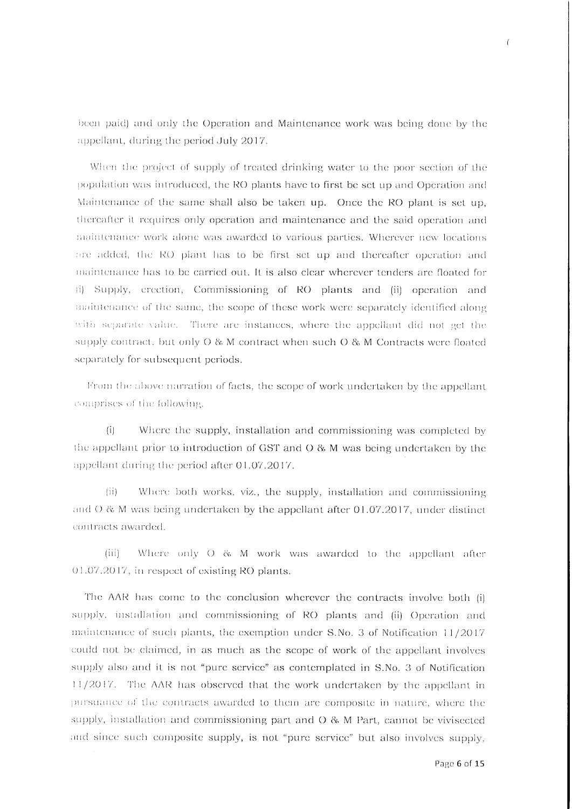been paid) and only the Operation and Maintenance work was being done by the appellant, during the period July 2017.

When the project of supply of treated drinking water to the poor section of the population was introduced, the RO plants have to first be set up and Operation and Maintenance of the same shall also be taken up. Once the RO plant is set up, thereafter it requires only operation and maintenance and the said operation and maintenance work alone was awarded to various parties. Wherever new locations are added, the RO plant has to be first set up and thereafter operation and maintenance has to be carried out. It is also clear wherever tenders are floated for (i) Supply, erection, Commissioning of RO plants and (ii) operation and maintenance of the same, the scope of these work were separately identified along with separate value. There are instances, where the appellant did not get the supply contract, but only O & M contract when such O & M Contracts were floated separately for subsequent periods.

From the above narration of facts, the scope of work undertaken by the appellant comprises of the following.

 $(i)$ Where the supply, installation and commissioning was completed by the appellant prior to introduction of GST and  $O$  & M was being undertaken by the appellant during the period after 01.07.2017.

Where both works, viz., the supply, installation and commissioning  $(ii)$ and  $O$  & M was being undertaken by the appellant after 01.07.2017, under distinct contracts awarded.

Where only O & M work was awarded to the appellant after  $(iii)$ 01.07.2017, in respect of existing RO plants.

The AAR has come to the conclusion wherever the contracts involve both (i) supply, installation and commissioning of RO plants and (ii) Operation and maintenance of such plants, the exemption under S.No. 3 of Notification 11/2017 could not be claimed, in as much as the scope of work of the appellant involves supply also and it is not "pure service" as contemplated in S.No. 3 of Notification 11/2017. The AAR has observed that the work undertaken by the appellant in pursuance of the contracts awarded to them are composite in nature, where the supply, installation and commissioning part and O & M Part, cannot be vivisected and since such composite supply, is not "pure service" but also involves supply,

 $\overline{1}$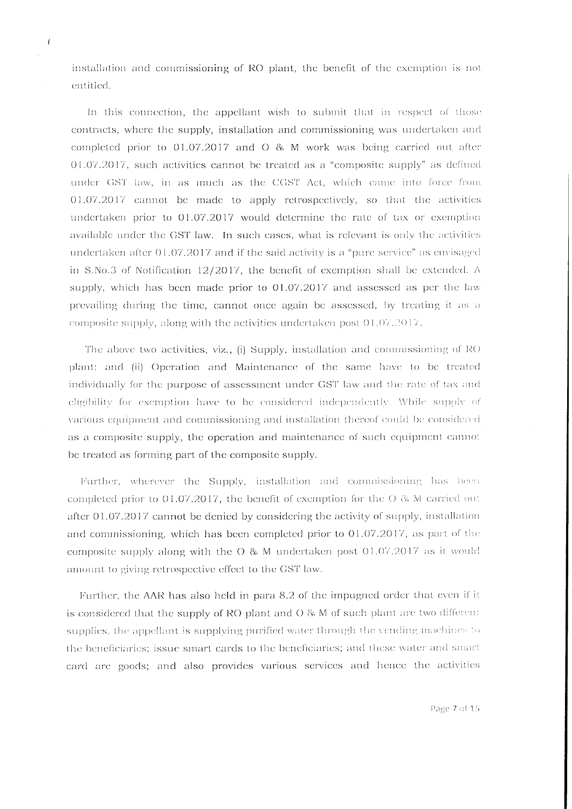installation and commissioning of RO plant, the benefit of the exemption is not entitled.

 $\overline{1}$ 

In this connection, the appellant wish to submit that in respect of those contracts, where the supply, installation and commissioning was undertaken and completed prior to 01.07.2017 and O & M work was being carried out after 01.07.2017, such activities cannot be treated as a "composite supply" as defined under GST law, in as much as the CGST Act, which came into force from 01.07.2017 cannot be made to apply retrospectively, so that the activities undertaken prior to 01.07.2017 would determine the rate of tax or exemption available under the GST law. In such cases, what is relevant is only the activities undertaken after 01.07.2017 and if the said activity is a "pure service" as envisaged in S.No.3 of Notification  $12/2017$ , the benefit of exemption shall be extended. A supply, which has been made prior to 01.07.2017 and assessed as per the law prevailing during the time, cannot once again be assessed, by treating it as a composite supply, along with the activities undertaken post 01.07.2017.

The above two activities, viz., (i) Supply, installation and commissioning of RO plant; and (ii) Operation and Maintenance of the same have to be treated individually for the purpose of assessment under GST law and the rate of tax and eligibility for exemption have to be considered independently. While supply of various equipment and commissioning and installation thereof could be considered as a composite supply, the operation and maintenance of such equipment cannot be treated as forming part of the composite supply.

Further, wherever the Supply, installation and commissioning has been completed prior to 01.07.2017, the benefit of exemption for the  $\sigma$  & M carried out after 01.07.2017 cannot be denied by considering the activity of supply, installation and commissioning, which has been completed prior to 01.07.2017, as part of the composite supply along with the O & M undertaken post 01.07.2017 as it would amount to giving retrospective effect to the GST law.

Further, the AAR has also held in para 8.2 of the impugned order that even if it is considered that the supply of RO plant and  $O$  & M of such plant are two different supplies, the appellant is supplying purified water through the vending machines to the beneficiaries; issue smart cards to the beneficiaries; and these water and smart card are goods; and also provides various services and hence the activities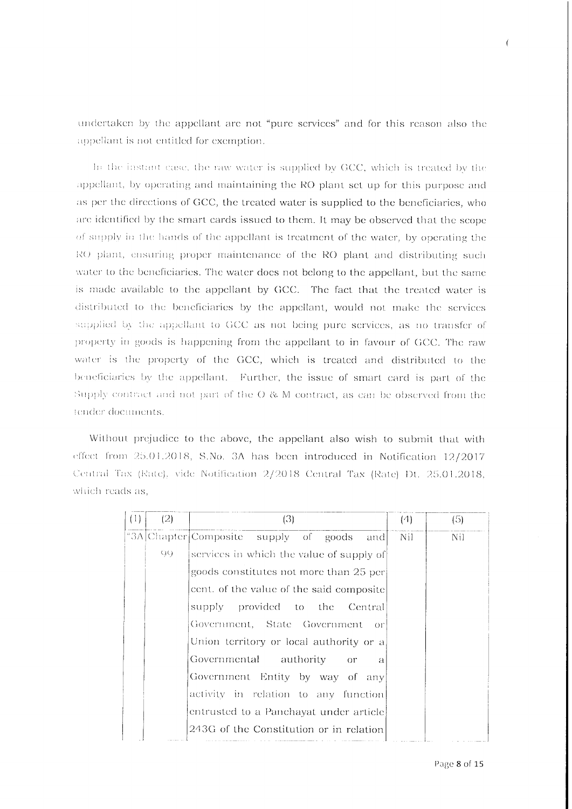undertaken by the appellant are not "pure services" and for this reason also the appellant is not entitled for exemption.

In the instant case, the raw water is supplied by GCC, which is treated by the appellant, by operating and maintaining the RO plant set up for this purpose and as per the directions of GCC, the treated water is supplied to the beneficiaries, who are identified by the smart cards issued to them. It may be observed that the scope of supply in the hands of the appellant is treatment of the water, by operating the RO plant, ensuring proper maintenance of the RO plant and distributing such water to the beneficiaries. The water does not belong to the appellant, but the same is made available to the appellant by GCC. The fact that the treated water is distributed to the beneficiaries by the appellant, would not make the services supplied by the appellant to GCC as not being pure services, as no transfer of property in goods is happening from the appellant to in favour of GCC. The raw water is the property of the GCC, which is treated and distributed to the beneficiaries by the appellant. Further, the issue of smart card is part of the Supply contract and not part of the O & M contract, as can be observed from the tender documents.

Without prejudice to the above, the appellant also wish to submit that with effect from 25.01.2018, S.No. 3A has been introduced in Notification 12/2017 Central Tax (Rate), vide Notification 2/2018 Central Tax (Rate) Dt. 25.01.2018, which reads as,

| (1) | (2) | (3)                                                              | (4) | (5) |
|-----|-----|------------------------------------------------------------------|-----|-----|
|     |     | "3A Chapter Composite supply of goods and                        | Nil | Nil |
|     | 99. | services in which the value of supply of                         |     |     |
|     |     | goods constitutes not more than 25 per                           |     |     |
|     |     | cent. of the value of the said composite                         |     |     |
|     |     | supply provided to the Central                                   |     |     |
|     |     | Government, State Government or                                  |     |     |
|     |     | Union territory or local authority or a                          |     |     |
|     |     | Governmental authority<br>$\overline{\text{or}}$<br>$\mathbf{a}$ |     |     |
|     |     | Government Entity by way of any                                  |     |     |
|     |     | activity in relation to any function                             |     |     |
|     |     | entrusted to a Panchayat under article.                          |     |     |
|     |     | 243G of the Constitution or in relation                          |     |     |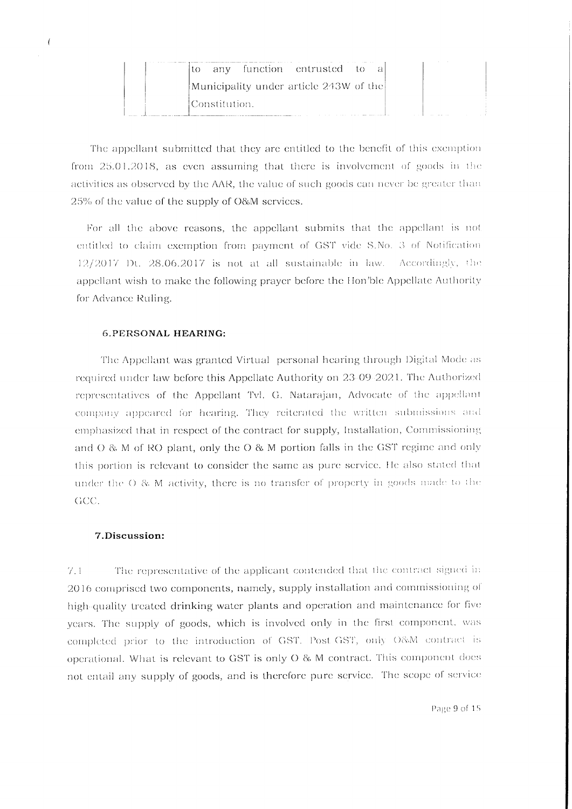| any function entrusted to              |
|----------------------------------------|
| Municipality under article 243W of the |
| !Constitution.                         |

The appellant submitted that they are entitled to the benefit of this exemption from 25.01.2018, as even assuming that there is involvement of goods in the activities as observed by the AAR, the value of such goods can never be greater than 25% of the value of the supply of O&M services.

For all the above reasons, the appellant submits that the appellant is not entitled to claim exemption from payment of GST vide S.No. 3 of Notification 12/2017 Dt. 28.06.2017 is not at all sustainable in law. Accordingly, the appellant wish to make the following prayer before the Hon'ble Appellate Authority for Advance Ruling.

#### **6.PERSONAL HEARING:**

 $\sqrt{ }$ 

The Appellant was granted Virtual personal hearing through Digital Mode as required under law before this Appellate Authority on 23-09-2021. The Authorized representatives of the Appellant Tvl. G. Natarajan, Advocate of the appellant company appeared for hearing. They reiterated the written submissions and emphasized that in respect of the contract for supply, Installation, Commissioning and O & M of RO plant, only the O & M portion falls in the GST regime and only this portion is relevant to consider the same as pure service. He also stated that under the O & M activity, there is no transfer of property in goods made to the GCC.

#### 7.Discussion:

The representative of the applicant contended that the contract signed in  $7.1$ 2016 comprised two components, namely, supply installation and commissioning of high-quality treated drinking water plants and operation and maintenance for five years. The supply of goods, which is involved only in the first component, was completed prior to the introduction of GST. Post-GST, only O&M contract is operational. What is relevant to GST is only O & M contract. This component does not entail any supply of goods, and is therefore pure service. The scope of service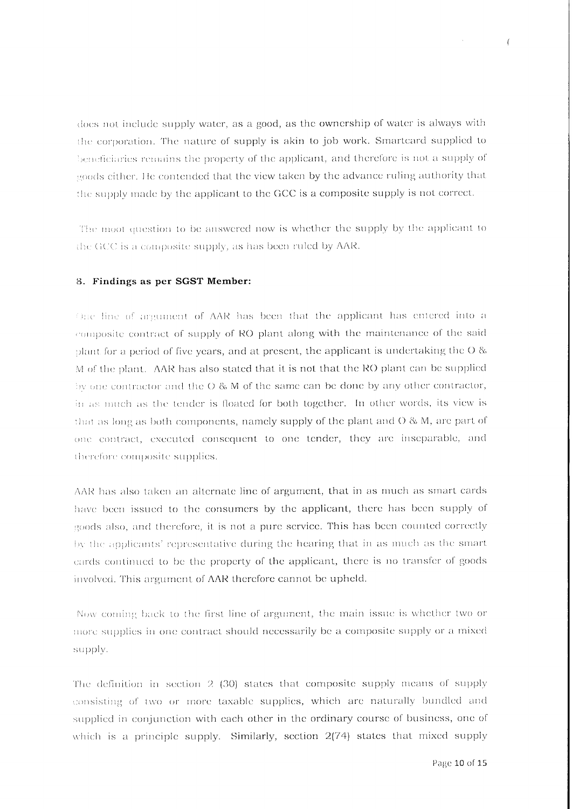does not include supply water, as a good, as the ownership of water is always with the corporation. The nature of supply is akin to job work. Smartcard supplied to beneficiaries remains the property of the applicant, and therefore is not a supply of goods either. He contended that the view taken by the advance ruling authority that the supply made by the applicant to the GCC is a composite supply is not correct.

The moot question to be answered now is whether the supply by the applicant to the GCC is a composite supply, as has been ruled by AAR.

#### 8. Findings as per SGST Member:

One line of argument of AAR has been that the applicant has entered into a composite contract of supply of RO plant along with the maintenance of the said plant for a period of five years, and at present, the applicant is undertaking the  $O$  & M of the plant. AAR has also stated that it is not that the RO plant can be supplied by one contractor and the O & M of the same can be done by any other contractor, in as much as the tender is floated for both together. In other words, its view is that as long as both components, namely supply of the plant and  $O$  & M, are part of one contract, executed consequent to one tender, they are inseparable, and therefore composite supplies.

AAR has also taken an alternate line of argument, that in as much as smart cards have been issued to the consumers by the applicant, there has been supply of goods also, and therefore, it is not a pure service. This has been counted correctly by the applicants' representative during the hearing that in as much as the smart cards continued to be the property of the applicant, there is no transfer of goods involved. This argument of AAR therefore cannot be upheld.

Now coming back to the first line of argument, the main issue is whether two or more supplies in one contract should necessarily be a composite supply or a mixed supply.

The definition in section  $2$  (30) states that composite supply means of supply consisting of two or more taxable supplies, which are naturally bundled and supplied in conjunction with each other in the ordinary course of business, one of which is a principle supply. Similarly, section 2(74) states that mixed supply

 $\left($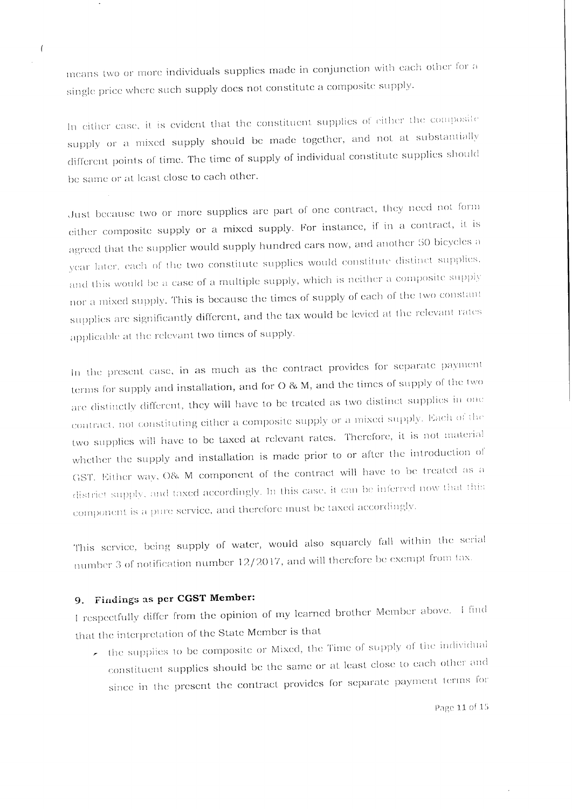means two or more individuals supplies made in conjunction with each other for a single price where such supply does not constitute a composite supply.

In either case, it is evident that the constituent supplies of either the composite supply or a mixed supply should be made together, and not at substantially different points of time. The time of supply of individual constitute supplies should be same or at least close to each other.

Just because two or more supplies are part of one contract, they need not form either composite supply or a mixed supply. For instance, if in a contract, it is agreed that the supplier would supply hundred cars now, and another 50 bicycles a year later, each of the two constitute supplies would constitute distinct supplies, and this would be a case of a multiple supply, which is neither a composite supply nor a mixed supply. This is because the times of supply of each of the two constant supplies are significantly different, and the tax would be levied at the relevant rates applicable at the relevant two times of supply.

In the present case, in as much as the contract provides for separate payment terms for supply and installation, and for O & M, and the times of supply of the two are distinctly different, they will have to be treated as two distinct supplies in one contract, not constituting either a composite supply or a mixed supply. Each of the two supplies will have to be taxed at relevant rates. Therefore, it is not material whether the supply and installation is made prior to or after the introduction of GST. Either way, O& M component of the contract will have to be treated as a district supply, and taxed accordingly. In this case, it can be inferred now that this component is a pure service, and therefore must be taxed accordingly.

This service, being supply of water, would also squarely fall within the serial number 3 of notification number 12/2017, and will therefore be exempt from tax.

### 9. Findings as per CGST Member:

 $\overline{(\ }$ 

I respectfully differ from the opinion of my learned brother Member above. I find that the interpretation of the State Member is that

 $\star$  the supplies to be composite or Mixed, the Time of supply of the individual constituent supplies should be the same or at least close to each other and since in the present the contract provides for separate payment terms for

Page 11 of 15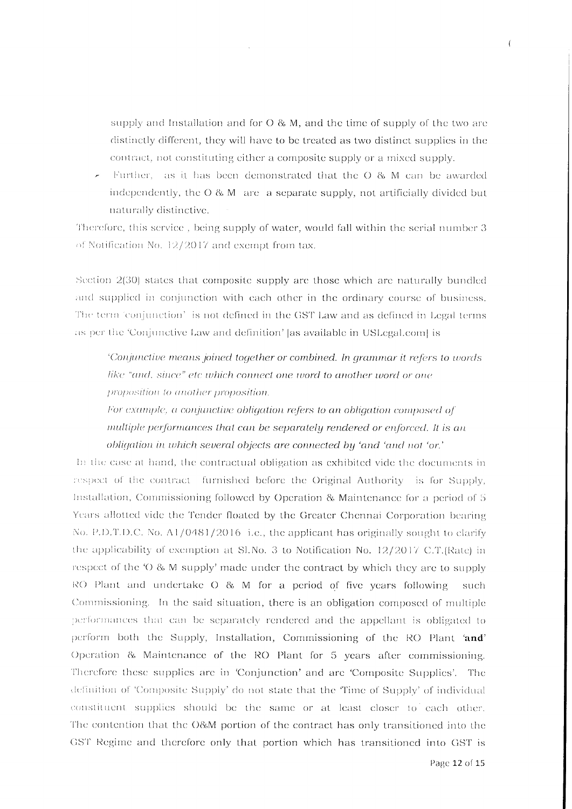supply and Installation and for O & M, and the time of supply of the two are distinctly different, they will have to be treated as two distinct supplies in the contract, not constituting either a composite supply or a mixed supply.

Further, as it has been demonstrated that the O & M can be awarded independently, the  $O$  & M are a separate supply, not artificially divided but naturally distinctive.

Therefore, this service, being supply of water, would fall within the serial number 3 of Notification No. 12/2017 and exempt from tax.

Section  $2(30)$  states that composite supply are those which are naturally bundled and supplied in conjunction with each other in the ordinary course of business. The term 'conjunction' is not defined in the GST Law and as defined in Legal terms as per the 'Conjunctive Law and definition' as available in USLegal.com| is

'Conjunctive means joined together or combined. In grammar it refers to words like "and, since" etc which connect one word to another word or one proposition to another proposition.

For example, a conjunctive obligation refers to an obligation composed of multiple performances that can be separately rendered or enforced. It is an obligation in which several objects are connected by 'and 'and not 'or.'

In the case at hand, the contractual obligation as exhibited vide the documents in respect of the contract furnished before the Original Authority is for Supply, Installation, Commissioning followed by Operation & Maintenance for a period of 5 Years allotted vide the Tender floated by the Greater Chennai Corporation bearing No. P.D.T.D.C. No. A1/0481/2016 i.e., the applicant has originally sought to clarify the applicability of exemption at Sl.No. 3 to Notification No.  $12/2017$  C.T.(Rate) in respect of the 'O & M supply' made under the contract by which they are to supply RO Plant and undertake  $O$  & M for a period of five years following such Commissioning. In the said situation, there is an obligation composed of multiple performances that can be separately rendered and the appellant is obligated to perform both the Supply, Installation, Commissioning of the RO Plant 'and' Operation & Maintenance of the RO Plant for 5 years after commissioning. Therefore these supplies are in 'Conjunction' and are 'Composite Supplies'. The definition of 'Composite Supply' do not state that the 'Time of Supply' of individual constituent supplies should be the same or at least closer to each other. The contention that the O&M portion of the contract has only transitioned into the GST Regime and therefore only that portion which has transitioned into GST is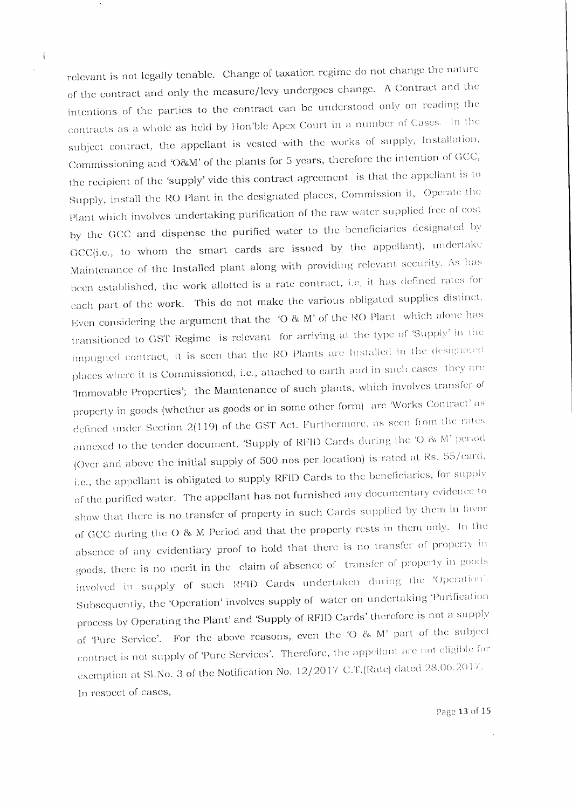relevant is not legally tenable. Change of taxation regime do not change the nature of the contract and only the measure/levy undergoes change. A Contract and the intentions of the parties to the contract can be understood only on reading the contracts as a whole as held by Hon'ble Apex Court in a number of Cases. In the subject contract, the appellant is vested with the works of supply, Installation, Commissioning and 'O&M' of the plants for 5 years, therefore the intention of GCC, the recipient of the 'supply' vide this contract agreement is that the appellant is to Supply, install the RO Plant in the designated places, Commission it, Operate the Plant which involves undertaking purification of the raw water supplied free of cost by the GCC and dispense the purified water to the beneficiaries designated by GCC(i.e., to whom the smart cards are issued by the appellant), undertake Maintenance of the Installed plant along with providing relevant security. As has been established, the work allotted is a rate contract, i.e, it has defined rates for each part of the work. This do not make the various obligated supplies distinct. Even considering the argument that the 'O & M' of the RO Plant which alone has transitioned to GST Regime is relevant for arriving at the type of 'Supply' in the impugned contract, it is seen that the RO Plants are Installed in the designated places where it is Commissioned, i.e., attached to earth and in such cases they are 'Immovable Properties'; the Maintenance of such plants, which involves transfer of property in goods (whether as goods or in some other form) are 'Works Contract' as defined under Section 2(119) of the GST Act. Furthermore, as seen from the rates annexed to the tender document, 'Supply of RFID Cards during the 'O & M' period (Over and above the initial supply of 500 nos per location) is rated at Rs. 55/card, i.e., the appellant is obligated to supply RFID Cards to the beneficiaries, for supply of the purified water. The appellant has not furnished any documentary evidence to show that there is no transfer of property in such Cards supplied by them in favor of GCC during the O & M Period and that the property rests in them only. In the absence of any evidentiary proof to hold that there is no transfer of property in goods, there is no merit in the claim of absence of transfer of property in goods involved in supply of such RFID Cards undertaken during the 'Operation'. Subsequently, the 'Operation' involves supply of water on undertaking 'Purification process by Operating the Plant' and 'Supply of RFID Cards' therefore is not a supply of 'Pure Service'. For the above reasons, even the 'O & M' part of the subject contract is not supply of Pure Services'. Therefore, the appellant are not eligible for

exemption at Sl.No. 3 of the Notification No. 12/2017 C.T.(Rate) dated 28.06.2017.

In respect of cases,

 $\mathbf{r}$ 

Page 13 of 15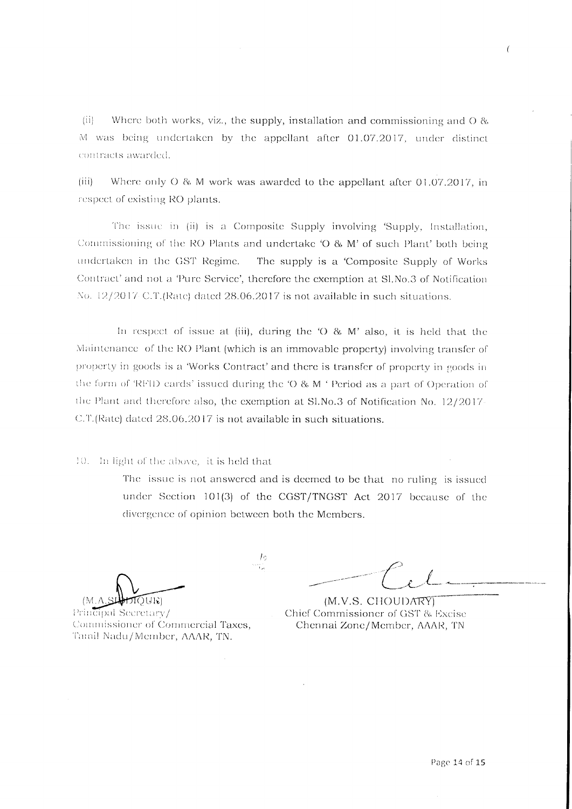$(ii)$ Where both works, viz., the supply, installation and commissioning and  $O$  & M was being undertaken by the appellant after 01.07.2017, under distinct contracts awarded.

 $(iii)$ Where only O & M work was awarded to the appellant after 01.07.2017, in respect of existing RO plants.

The issue in (ii) is a Composite Supply involving 'Supply, Installation, Commissioning of the RO Plants and undertake 'O & M' of such Plant' both being undertaken in the GST Regime. The supply is a 'Composite Supply of Works' Contract' and not a 'Pure Service', therefore the exemption at Sl.No.3 of Notification No. 12/2017 C.T.(Rate) dated 28.06.2017 is not available in such situations.

In respect of issue at (iii), during the ' $O$  &  $M'$  also, it is held that the Maintenance of the RO Plant (which is an immovable property) involving transfer of property in goods is a 'Works Contract' and there is transfer of property in goods in the form of 'RFID cards' issued during the 'O & M ' Period as a part of Operation of the Plant and therefore also, the exemption at  $S1.No.3$  of Notification No. 12/2017-C.T.(Rate) dated 28.06.2017 is not available in such situations.

10. In light of the above, it is held that

The issue is not answered and is deemed to be that no ruling is issued under Section 101(3) of the CGST/TNGST Act 2017 because of the divergence of opinion between both the Members.

-lo

TOUR)

Principal Secretary/ Commissioner of Commercial Taxes, Tamil Nadu/Member, AAAR, TN.

(M.V.S. CHOUDARY) Chief Commissioner of GST & Excise Chennai Zone/Member, AAAR, TN

 $\overline{(\ }$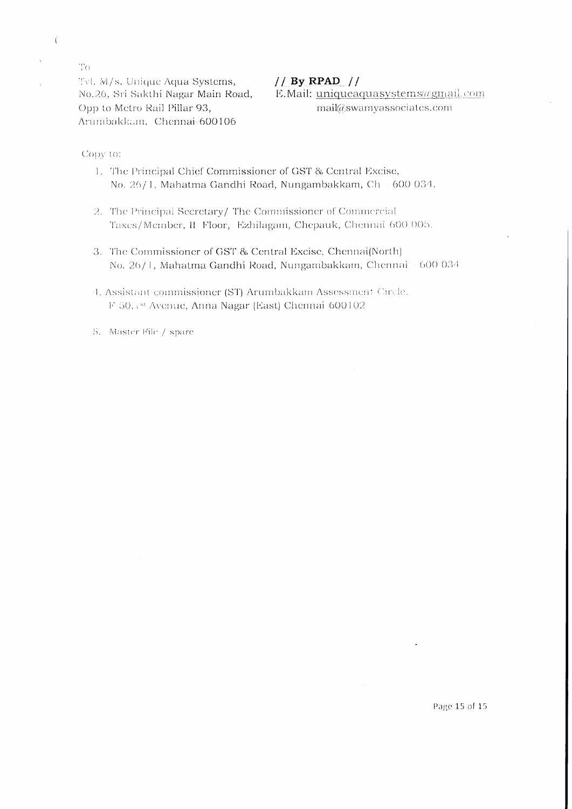$\mathrm{T}_\mathrm{O}$ Tvl. M/s. Unique Aqua Systems, No.26, Sri Sakthi Nagar Main Road, Opp to Metro Rail Pillar 93, Arumbakkam, Chennai-600106

 $// By RPAD //$ 

E.Mail: uniqueaquasystems@gmail.com mail@swamyassociates.com

Copy to:

 $\overline{(}$ 

- 1. The Principal Chief Commissioner of GST & Central Excise, No. 26/1, Mahatma Gandhi Road, Nungambakkam, Ch - 600 034.
- 2. The Principal Secretary/The Commissioner of Commercial Taxes/Member, II Floor, Ezhilagam, Chepauk, Chennai 600 005.
- 3. The Commissioner of GST & Central Excise, Chennai(North) No. 26/1, Mahatma Gandhi Road, Nungambakkam, Chennai - 600 034
- 4. Assistant commissioner (ST) Arumbakkam Assessment Circle. F 50, 181 Avenue, Anna Nagar (East) Chennai 600102

5. Master File / spare